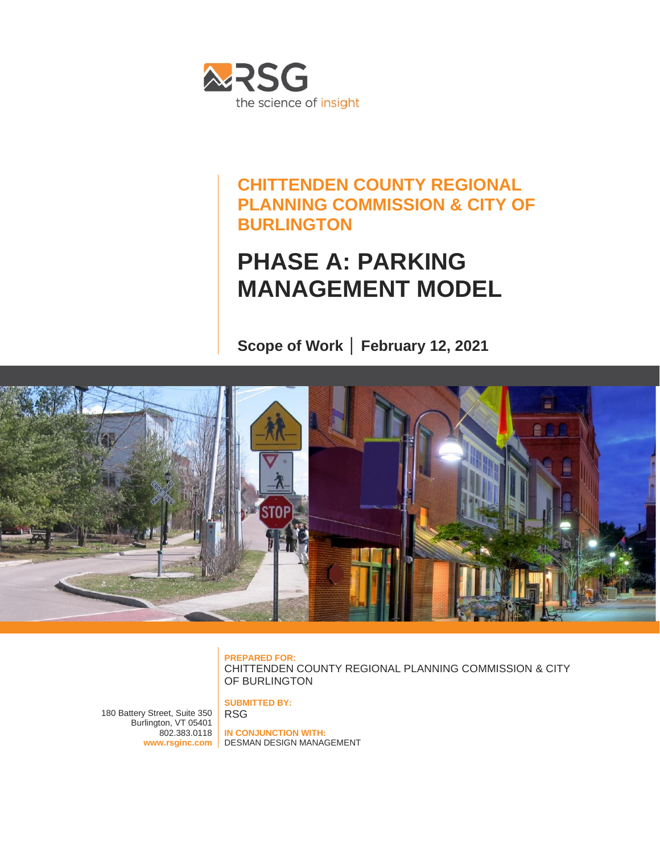

## **CHITTENDEN COUNTY REGIONAL PLANNING COMMISSION & CITY OF BURLINGTON**

# **PHASE A: PARKING MANAGEMENT MODEL**

**Scope of Work │ February 12, 2021**



**PREPARED FOR:** CHITTENDEN COUNTY REGIONAL PLANNING COMMISSION & CITY OF BURLINGTON

180 Battery Street, Suite 350 Burlington, VT 05401 802.383.0118

**SUBMITTED BY:** RSG

**www.rsginc.com** DESMAN DESIGN MANAGEMENT**IN CONJUNCTION WITH:**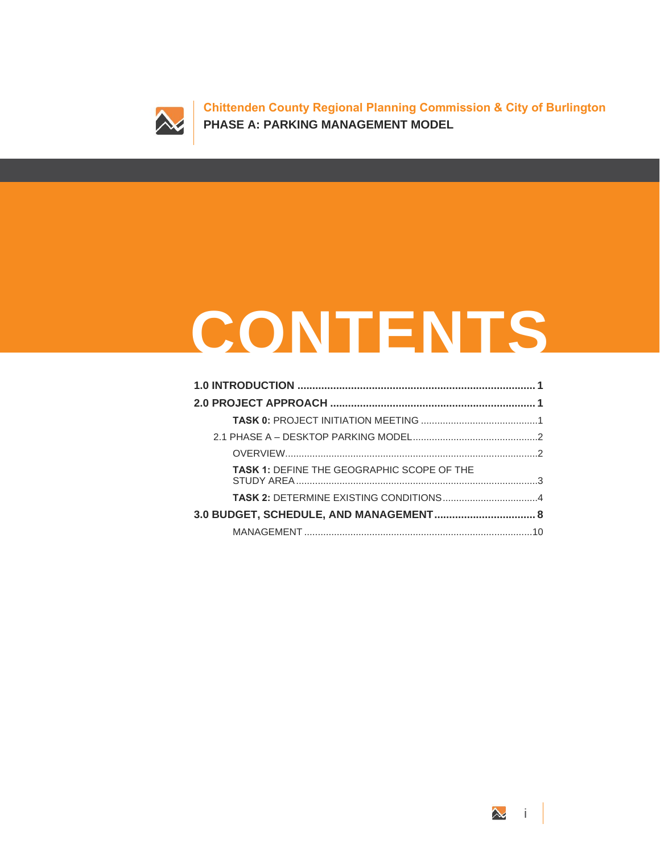

**Chittenden County Regional Planning Commission & City of Burlington PHASE A: PARKING MANAGEMENT MODEL**

# **CONTENTS**

| <b>TASK 1: DEFINE THE GEOGRAPHIC SCOPE OF THE</b> |  |  |  |  |  |  |  |
|---------------------------------------------------|--|--|--|--|--|--|--|
|                                                   |  |  |  |  |  |  |  |
|                                                   |  |  |  |  |  |  |  |
|                                                   |  |  |  |  |  |  |  |

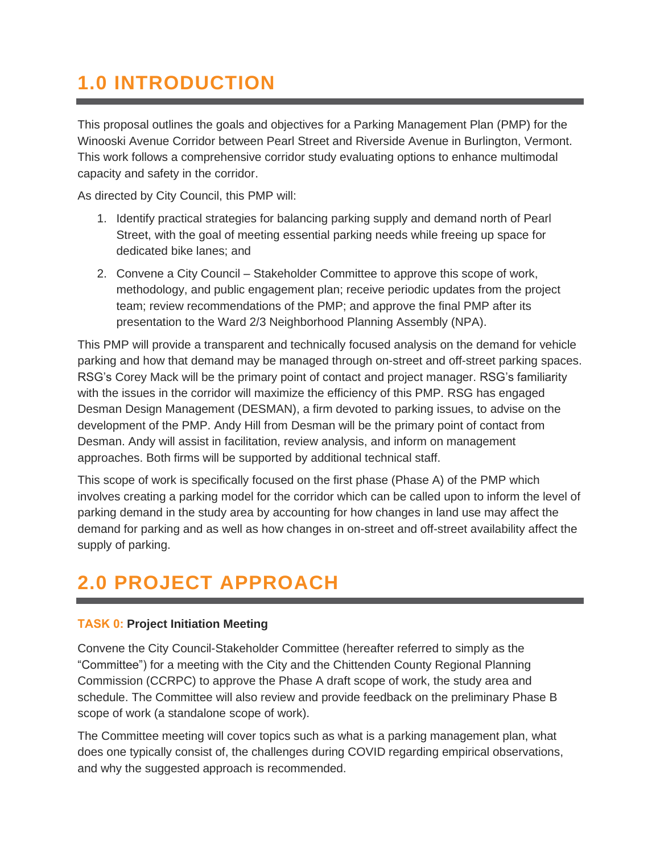# <span id="page-4-0"></span>**1.0 INTRODUCTION**

This proposal outlines the goals and objectives for a Parking Management Plan (PMP) for the Winooski Avenue Corridor between Pearl Street and Riverside Avenue in Burlington, Vermont. This work follows a comprehensive corridor study evaluating options to enhance multimodal capacity and safety in the corridor.

As directed by City Council, this PMP will:

- 1. Identify practical strategies for balancing parking supply and demand north of Pearl Street, with the goal of meeting essential parking needs while freeing up space for dedicated bike lanes; and
- 2. Convene a City Council Stakeholder Committee to approve this scope of work, methodology, and public engagement plan; receive periodic updates from the project team; review recommendations of the PMP; and approve the final PMP after its presentation to the Ward 2/3 Neighborhood Planning Assembly (NPA).

This PMP will provide a transparent and technically focused analysis on the demand for vehicle parking and how that demand may be managed through on-street and off-street parking spaces. RSG's Corey Mack will be the primary point of contact and project manager. RSG's familiarity with the issues in the corridor will maximize the efficiency of this PMP. RSG has engaged Desman Design Management (DESMAN), a firm devoted to parking issues, to advise on the development of the PMP. Andy Hill from Desman will be the primary point of contact from Desman. Andy will assist in facilitation, review analysis, and inform on management approaches. Both firms will be supported by additional technical staff.

This scope of work is specifically focused on the first phase (Phase A) of the PMP which involves creating a parking model for the corridor which can be called upon to inform the level of parking demand in the study area by accounting for how changes in land use may affect the demand for parking and as well as how changes in on-street and off-street availability affect the supply of parking.

## <span id="page-4-1"></span>**2.0 PROJECT APPROACH**

#### <span id="page-4-2"></span>**TASK 0: Project Initiation Meeting**

Convene the City Council-Stakeholder Committee (hereafter referred to simply as the "Committee") for a meeting with the City and the Chittenden County Regional Planning Commission (CCRPC) to approve the Phase A draft scope of work, the study area and schedule. The Committee will also review and provide feedback on the preliminary Phase B scope of work (a standalone scope of work).

The Committee meeting will cover topics such as what is a parking management plan, what does one typically consist of, the challenges during COVID regarding empirical observations, and why the suggested approach is recommended.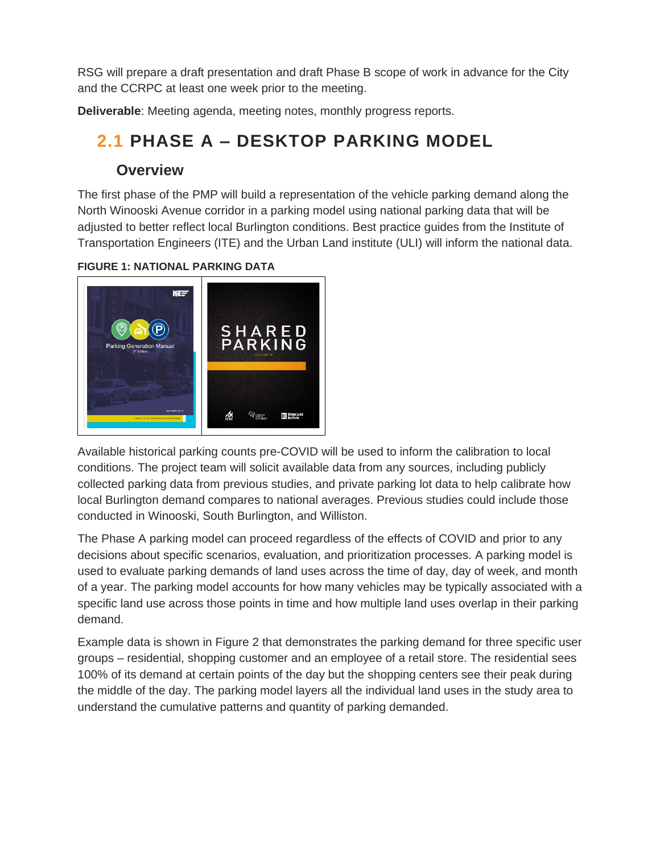RSG will prepare a draft presentation and draft Phase B scope of work in advance for the City and the CCRPC at least one week prior to the meeting.

<span id="page-5-0"></span>**Deliverable**: Meeting agenda, meeting notes, monthly progress reports.

## **2.1 PHASE A – DESKTOP PARKING MODEL**

#### **Overview**

<span id="page-5-1"></span>The first phase of the PMP will build a representation of the vehicle parking demand along the North Winooski Avenue corridor in a parking model using national parking data that will be adjusted to better reflect local Burlington conditions. Best practice guides from the Institute of Transportation Engineers (ITE) and the Urban Land institute (ULI) will inform the national data.



**FIGURE 1: NATIONAL PARKING DATA**

Available historical parking counts pre-COVID will be used to inform the calibration to local conditions. The project team will solicit available data from any sources, including publicly collected parking data from previous studies, and private parking lot data to help calibrate how local Burlington demand compares to national averages. Previous studies could include those conducted in Winooski, South Burlington, and Williston.

The Phase A parking model can proceed regardless of the effects of COVID and prior to any decisions about specific scenarios, evaluation, and prioritization processes. A parking model is used to evaluate parking demands of land uses across the time of day, day of week, and month of a year. The parking model accounts for how many vehicles may be typically associated with a specific land use across those points in time and how multiple land uses overlap in their parking demand.

Example data is shown in [Figure 2](#page-6-1) that demonstrates the parking demand for three specific user groups – residential, shopping customer and an employee of a retail store. The residential sees 100% of its demand at certain points of the day but the shopping centers see their peak during the middle of the day. The parking model layers all the individual land uses in the study area to understand the cumulative patterns and quantity of parking demanded.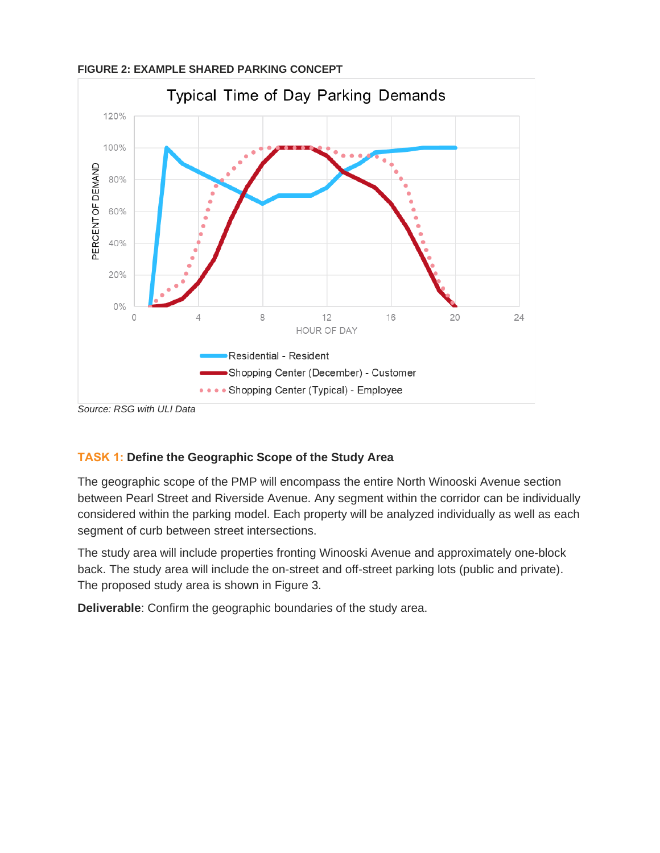

#### <span id="page-6-1"></span>**FIGURE 2: EXAMPLE SHARED PARKING CONCEPT**

*Source: RSG with ULI Data*

#### <span id="page-6-0"></span>**TASK 1: Define the Geographic Scope of the Study Area**

The geographic scope of the PMP will encompass the entire North Winooski Avenue section between Pearl Street and Riverside Avenue. Any segment within the corridor can be individually considered within the parking model. Each property will be analyzed individually as well as each segment of curb between street intersections.

The study area will include properties fronting Winooski Avenue and approximately one-block back. The study area will include the on-street and off-street parking lots (public and private). The proposed study area is shown in [Figure 3.](#page-7-1)

**Deliverable**: Confirm the geographic boundaries of the study area.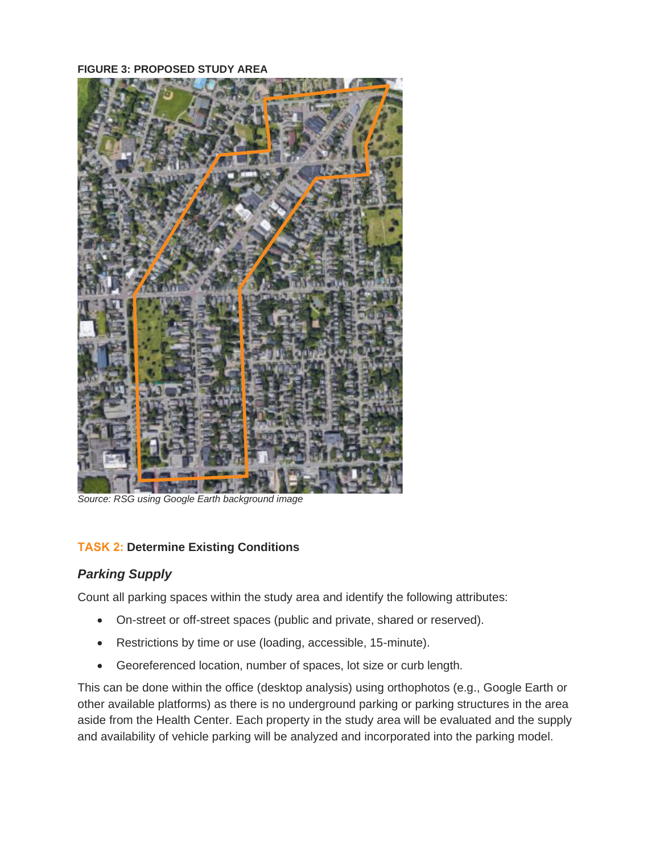<span id="page-7-1"></span>**FIGURE 3: PROPOSED STUDY AREA**



*Source: RSG using Google Earth background image*

#### <span id="page-7-0"></span>**TASK 2: Determine Existing Conditions**

#### *Parking Supply*

Count all parking spaces within the study area and identify the following attributes:

- On-street or off-street spaces (public and private, shared or reserved).
- Restrictions by time or use (loading, accessible, 15-minute).
- Georeferenced location, number of spaces, lot size or curb length.

This can be done within the office (desktop analysis) using orthophotos (e.g., Google Earth or other available platforms) as there is no underground parking or parking structures in the area aside from the Health Center. Each property in the study area will be evaluated and the supply and availability of vehicle parking will be analyzed and incorporated into the parking model.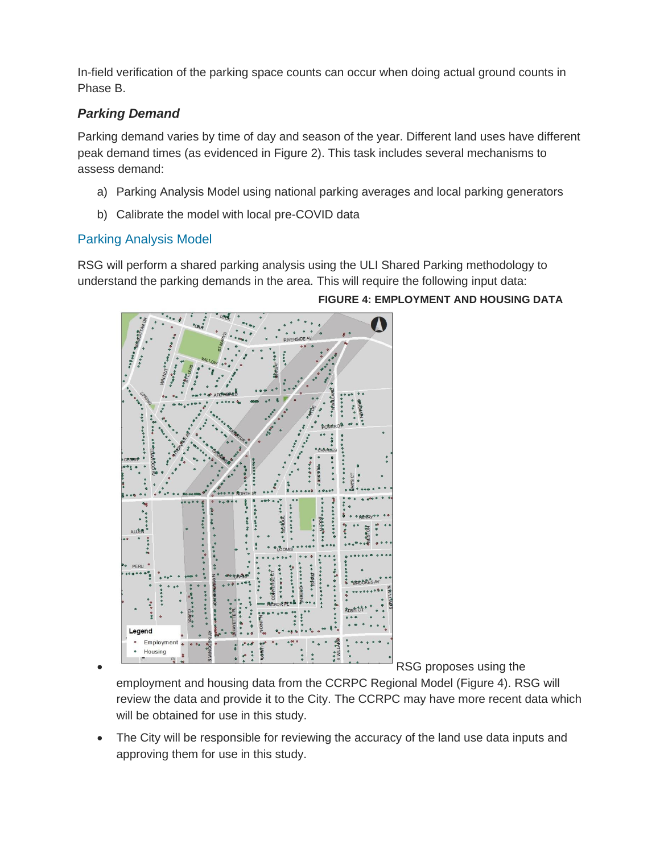In-field verification of the parking space counts can occur when doing actual ground counts in Phase B.

#### *Parking Demand*

Parking demand varies by time of day and season of the year. Different land uses have different peak demand times (as evidenced in [Figure 2\)](#page-6-1). This task includes several mechanisms to assess demand:

- a) Parking Analysis Model using national parking averages and local parking generators
- b) Calibrate the model with local pre-COVID data

#### Parking Analysis Model

RSG will perform a shared parking analysis using the ULI Shared Parking methodology to understand the parking demands in the area. This will require the following input data:



#### <span id="page-8-0"></span>**FIGURE 4: EMPLOYMENT AND HOUSING DATA**

RSG proposes using the

employment and housing data from the CCRPC Regional Model [\(Figure 4\)](#page-8-0). RSG will review the data and provide it to the City. The CCRPC may have more recent data which will be obtained for use in this study.

• The City will be responsible for reviewing the accuracy of the land use data inputs and approving them for use in this study.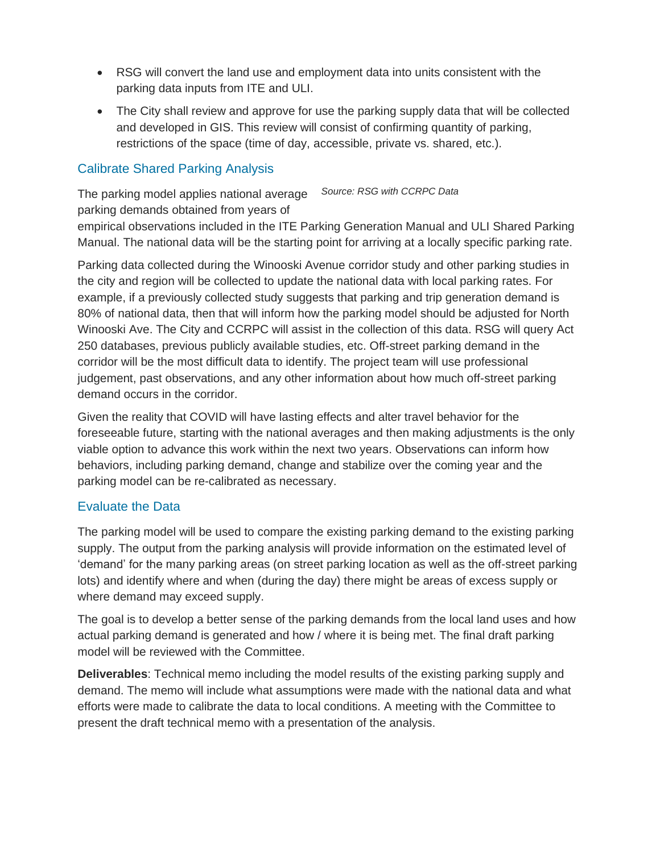- RSG will convert the land use and employment data into units consistent with the parking data inputs from ITE and ULI.
- The City shall review and approve for use the parking supply data that will be collected and developed in GIS. This review will consist of confirming quantity of parking, restrictions of the space (time of day, accessible, private vs. shared, etc.).

#### Calibrate Shared Parking Analysis

The parking model applies national average *Source: RSG with CCRPC Data*parking demands obtained from years of empirical observations included in the ITE Parking Generation Manual and ULI Shared Parking Manual. The national data will be the starting point for arriving at a locally specific parking rate.

Parking data collected during the Winooski Avenue corridor study and other parking studies in the city and region will be collected to update the national data with local parking rates. For example, if a previously collected study suggests that parking and trip generation demand is 80% of national data, then that will inform how the parking model should be adjusted for North Winooski Ave. The City and CCRPC will assist in the collection of this data. RSG will query Act 250 databases, previous publicly available studies, etc. Off-street parking demand in the corridor will be the most difficult data to identify. The project team will use professional judgement, past observations, and any other information about how much off-street parking demand occurs in the corridor.

Given the reality that COVID will have lasting effects and alter travel behavior for the foreseeable future, starting with the national averages and then making adjustments is the only viable option to advance this work within the next two years. Observations can inform how behaviors, including parking demand, change and stabilize over the coming year and the parking model can be re-calibrated as necessary.

#### Evaluate the Data

The parking model will be used to compare the existing parking demand to the existing parking supply. The output from the parking analysis will provide information on the estimated level of 'demand' for the many parking areas (on street parking location as well as the off-street parking lots) and identify where and when (during the day) there might be areas of excess supply or where demand may exceed supply.

The goal is to develop a better sense of the parking demands from the local land uses and how actual parking demand is generated and how / where it is being met. The final draft parking model will be reviewed with the Committee.

**Deliverables**: Technical memo including the model results of the existing parking supply and demand. The memo will include what assumptions were made with the national data and what efforts were made to calibrate the data to local conditions. A meeting with the Committee to present the draft technical memo with a presentation of the analysis.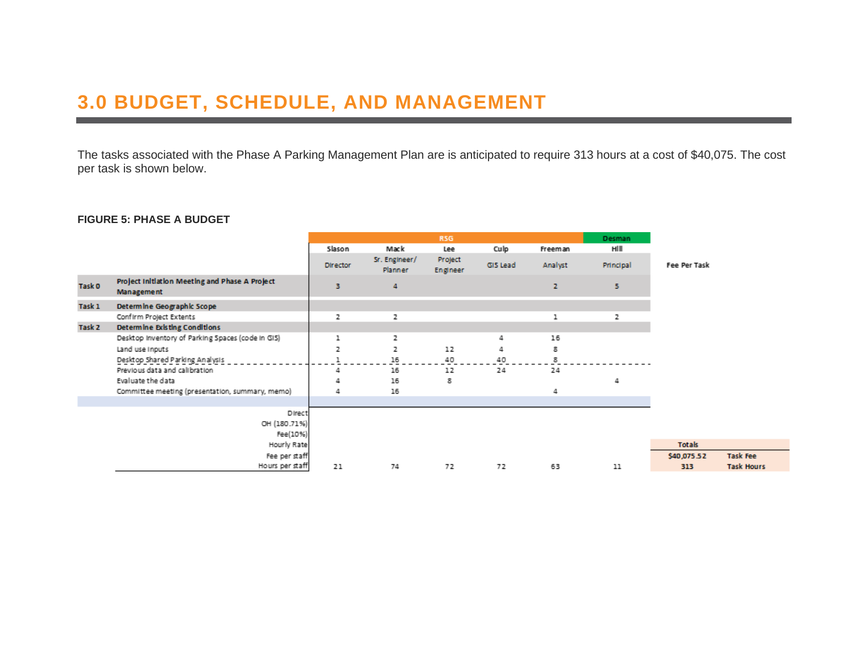## **3.0 BUDGET, SCHEDULE, AND MANAGEMENT**

The tasks associated with the Phase A Parking Management Plan are is anticipated to require 313 hours at a cost of \$40,075. The cost per task is shown below.

#### **FIGURE 5: PHASE A BUDGET**

<span id="page-11-0"></span>

|                   |                                                                     | R <sub>5G</sub> |                                 |                     |          |              | Desman    |              |                   |
|-------------------|---------------------------------------------------------------------|-----------------|---------------------------------|---------------------|----------|--------------|-----------|--------------|-------------------|
|                   |                                                                     | Slason          | Mack                            | Lee                 | Culp     | Freeman      | HIII      |              |                   |
|                   |                                                                     | <b>Director</b> | Sr. Engineer/<br><b>Planner</b> | Project<br>Engineer | GIS Lead | Analyst      | Principal | Fee Per Task |                   |
| Task 0            | Project Initiation Meeting and Phase A Project<br><b>Management</b> | з               | 4                               |                     |          | $\mathbf{z}$ | 5.        |              |                   |
| Task 1            | Determine Geographic Scope                                          |                 |                                 |                     |          |              |           |              |                   |
|                   | Confirm Project Extents                                             | z               | z                               |                     |          | ı            | z         |              |                   |
| Task <sub>2</sub> | Determine Existing Conditions                                       |                 |                                 |                     |          |              |           |              |                   |
|                   | Desktop Inventory of Parking Spaces (code in GIS)                   | ı               | 2                               |                     | 4        | 16           |           |              |                   |
|                   | Land use inputs                                                     | z               | 2                               | 12                  | 4        | 8            |           |              |                   |
|                   | Desktop Shared Parking Analysis                                     |                 | 16                              | 40                  | 40       | 8            |           |              |                   |
|                   | Previous data and calibration                                       | 4               | 16                              | 12                  | 24       | 24           |           |              |                   |
|                   | Evaluate the data                                                   |                 | 16                              | 8                   |          |              | Δ         |              |                   |
|                   | Committee meeting (presentation, summary, memo)                     | 4               | 16                              |                     |          | 4            |           |              |                   |
|                   |                                                                     |                 |                                 |                     |          |              |           |              |                   |
|                   | Direct                                                              |                 |                                 |                     |          |              |           |              |                   |
|                   | OH (180.71%)                                                        |                 |                                 |                     |          |              |           |              |                   |
|                   | Fee(10%)                                                            |                 |                                 |                     |          |              |           |              |                   |
|                   | Hourly Rate                                                         |                 |                                 |                     |          |              |           | Totals       |                   |
|                   | Fee per staff                                                       |                 |                                 |                     |          |              |           | \$40,075.52  | Task Fee          |
|                   | Hours per staff                                                     | 21              | 74                              | 72                  | 72       | 63           | 11        | 313          | <b>Task Hours</b> |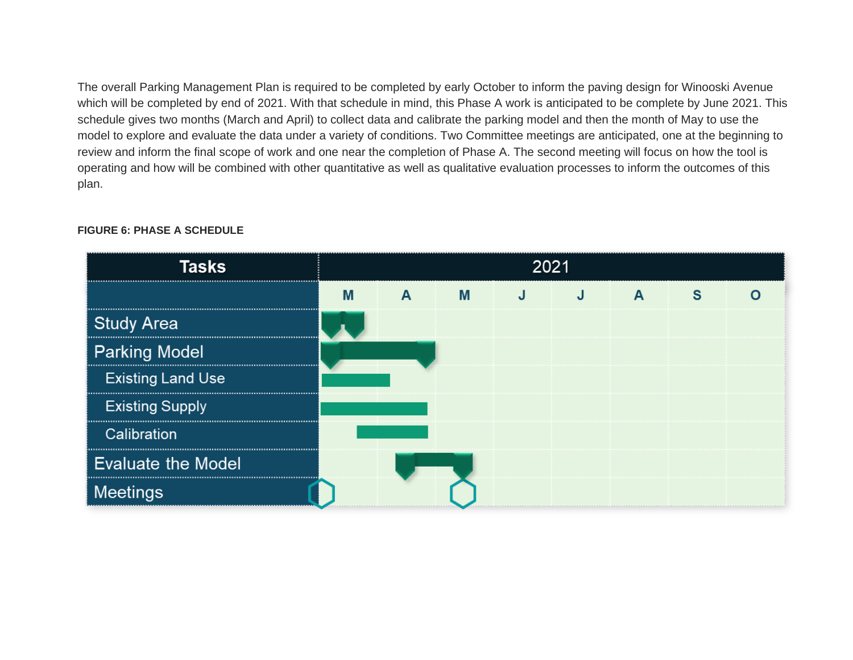The overall Parking Management Plan is required to be completed by early October to inform the paving design for Winooski Avenue which will be completed by end of 2021. With that schedule in mind, this Phase A work is anticipated to be complete by June 2021. This schedule gives two months (March and April) to collect data and calibrate the parking model and then the month of May to use the model to explore and evaluate the data under a variety of conditions. Two Committee meetings are anticipated, one at the beginning to review and inform the final scope of work and one near the completion of Phase A. The second meeting will focus on how the tool is operating and how will be combined with other quantitative as well as qualitative evaluation processes to inform the outcomes of this plan.

| Tasks                     | 2021 |   |  |  |  |  |  |  |
|---------------------------|------|---|--|--|--|--|--|--|
|                           |      | м |  |  |  |  |  |  |
| <b>Study Area</b>         |      |   |  |  |  |  |  |  |
| <b>Parking Model</b>      |      |   |  |  |  |  |  |  |
| <b>Existing Land Use</b>  |      |   |  |  |  |  |  |  |
| <b>Existing Supply</b>    |      |   |  |  |  |  |  |  |
| Calibration               |      |   |  |  |  |  |  |  |
| <b>Evaluate the Model</b> |      |   |  |  |  |  |  |  |
| Meetings                  |      |   |  |  |  |  |  |  |

#### **FIGURE 6: PHASE A SCHEDULE**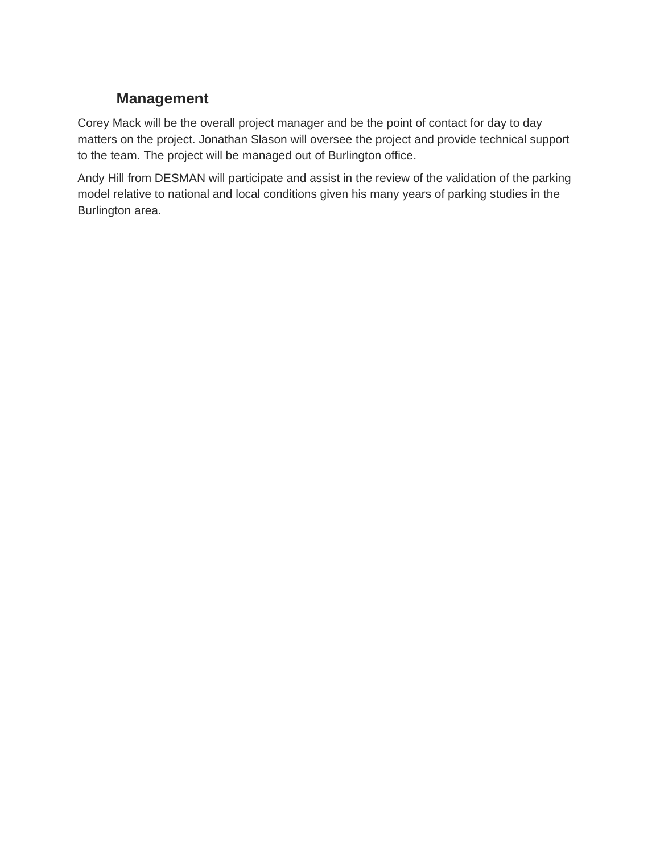### **Management**

<span id="page-13-0"></span>Corey Mack will be the overall project manager and be the point of contact for day to day matters on the project. Jonathan Slason will oversee the project and provide technical support to the team. The project will be managed out of Burlington office.

Andy Hill from DESMAN will participate and assist in the review of the validation of the parking model relative to national and local conditions given his many years of parking studies in the Burlington area.